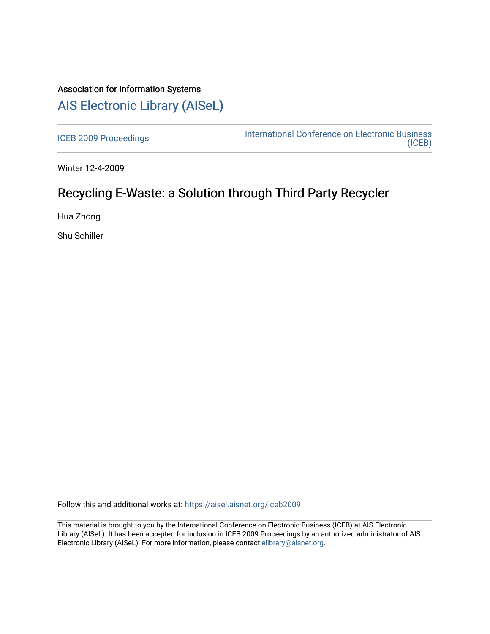## Association for Information Systems [AIS Electronic Library \(AISeL\)](https://aisel.aisnet.org/)

[ICEB 2009 Proceedings](https://aisel.aisnet.org/iceb2009) **International Conference on Electronic Business** [\(ICEB\)](https://aisel.aisnet.org/iceb) 

Winter 12-4-2009

# Recycling E-Waste: a Solution through Third Party Recycler

Hua Zhong

Shu Schiller

Follow this and additional works at: [https://aisel.aisnet.org/iceb2009](https://aisel.aisnet.org/iceb2009?utm_source=aisel.aisnet.org%2Ficeb2009%2F159&utm_medium=PDF&utm_campaign=PDFCoverPages)

This material is brought to you by the International Conference on Electronic Business (ICEB) at AIS Electronic Library (AISeL). It has been accepted for inclusion in ICEB 2009 Proceedings by an authorized administrator of AIS Electronic Library (AISeL). For more information, please contact [elibrary@aisnet.org.](mailto:elibrary@aisnet.org%3E)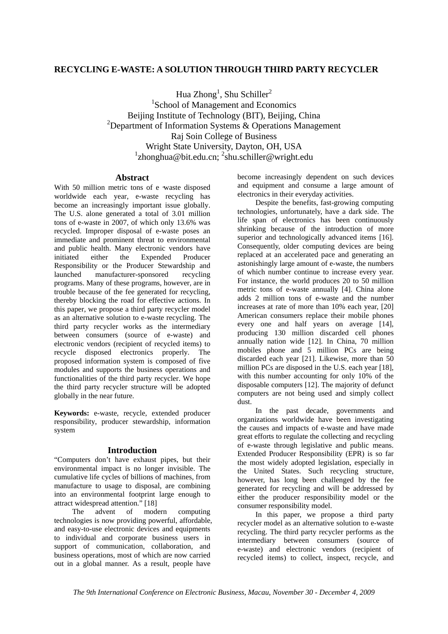### **RECYCLING E-WASTE: A SOLUTION THROUGH THIRD PARTY RECYCLER**

Hua  $Zhong<sup>1</sup>$ , Shu Schiller<sup>2</sup> <sup>1</sup>School of Management and Economics Beijing Institute of Technology (BIT), Beijing, China <sup>2</sup>Department of Information Systems & Operations Management Raj Soin College of Business Wright State University, Dayton, OH, USA <sup>1</sup>zhonghua@bit.edu.cn; <sup>2</sup>shu.schiller@wright.edu

#### **Abstract**

With 50 million metric tons of e waste disposed worldwide each year, e-waste recycling has become an increasingly important issue globally. The U.S. alone generated a total of 3.01 million tons of e-waste in 2007, of which only 13.6% was recycled. Improper disposal of e-waste poses an immediate and prominent threat to environmental and public health. Many electronic vendors have initiated either the Expended Producer Responsibility or the Producer Stewardship and launched manufacturer-sponsored recycling programs. Many of these programs, however, are in trouble because of the fee generated for recycling, thereby blocking the road for effective actions. In this paper, we propose a third party recycler model as an alternative solution to e-waste recycling. The third party recycler works as the intermediary between consumers (source of e-waste) and electronic vendors (recipient of recycled items) to recycle disposed electronics properly. The proposed information system is composed of five modules and supports the business operations and functionalities of the third party recycler. We hope the third party recycler structure will be adopted globally in the near future.

**Keywords:** e-waste, recycle, extended producer responsibility, producer stewardship, information system

#### **Introduction**

"Computers don't have exhaust pipes, but their environmental impact is no longer invisible. The cumulative life cycles of billions of machines, from manufacture to usage to disposal, are combining into an environmental footprint large enough to attract widespread attention." [18]

The advent of modern computing technologies is now providing powerful, affordable, and easy-to-use electronic devices and equipments to individual and corporate business users in support of communication, collaboration, and business operations, most of which are now carried out in a global manner. As a result, people have

become increasingly dependent on such devices and equipment and consume a large amount of electronics in their everyday activities.

Despite the benefits, fast-growing computing technologies, unfortunately, have a dark side. The life span of electronics has been continuously shrinking because of the introduction of more superior and technologically advanced items [16]. Consequently, older computing devices are being replaced at an accelerated pace and generating an astonishingly large amount of e-waste, the numbers of which number continue to increase every year. For instance, the world produces 20 to 50 million metric tons of e-waste annually [4]. China alone adds 2 million tons of e-waste and the number increases at rate of more than 10% each year, [20] American consumers replace their mobile phones every one and half years on average [14], producing 130 million discarded cell phones annually nation wide [12]. In China, 70 million mobiles phone and 5 million PCs are being discarded each year [21]. Likewise, more than 50 million PCs are disposed in the U.S. each year [18], with this number accounting for only 10% of the disposable computers [12]. The majority of defunct computers are not being used and simply collect dust.

In the past decade, governments and organizations worldwide have been investigating the causes and impacts of e-waste and have made great efforts to regulate the collecting and recycling of e-waste through legislative and public means. Extended Producer Responsibility (EPR) is so far the most widely adopted legislation, especially in the United States. Such recycling structure, however, has long been challenged by the fee generated for recycling and will be addressed by either the producer responsibility model or the consumer responsibility model.

In this paper, we propose a third party recycler model as an alternative solution to e-waste recycling. The third party recycler performs as the intermediary between consumers (source of e-waste) and electronic vendors (recipient of recycled items) to collect, inspect, recycle, and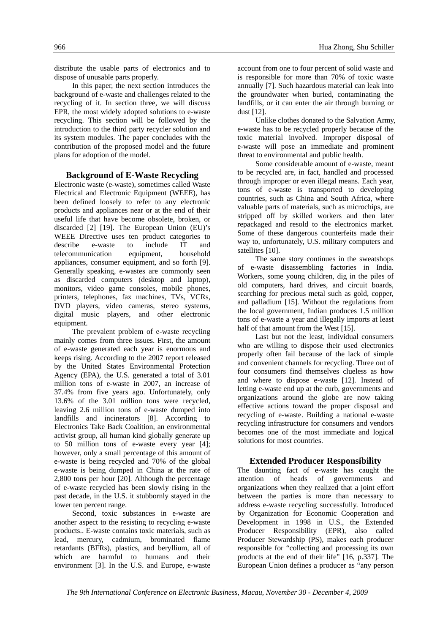distribute the usable parts of electronics and to dispose of unusable parts properly.

In this paper, the next section introduces the background of e-waste and challenges related to the recycling of it. In section three, we will discuss EPR, the most widely adopted solutions to e-waste recycling. This section will be followed by the introduction to the third party recycler solution and its system modules. The paper concludes with the contribution of the proposed model and the future plans for adoption of the model.

#### **Background of E-Waste Recycling**

Electronic waste (e-waste), sometimes called Waste Electrical and Electronic Equipment (WEEE), has been defined loosely to refer to any electronic products and appliances near or at the end of their useful life that have become obsolete, broken, or discarded [2] [19]. The European Union (EU)'s WEEE Directive uses ten product categories to describe e-waste to include IT and telecommunication equipment, household appliances, consumer equipment, and so forth [9]. Generally speaking, e-wastes are commonly seen as discarded computers (desktop and laptop), monitors, video game consoles, mobile phones, printers, telephones, fax machines, TVs, VCRs, DVD players, video cameras, stereo systems, digital music players, and other electronic equipment.

The prevalent problem of e-waste recycling mainly comes from three issues. First, the amount of e-waste generated each year is enormous and keeps rising. According to the 2007 report released by the United States Environmental Protection Agency (EPA), the U.S. generated a total of 3.01 million tons of e-waste in 2007, an increase of 37.4% from five years ago. Unfortunately, only 13.6% of the 3.01 million tons were recycled, leaving 2.6 million tons of e-waste dumped into landfills and incinerators [8]. According to Electronics Take Back Coalition, an environmental activist group, all human kind globally generate up to 50 million tons of e-waste every year [4]; however, only a small percentage of this amount of e-waste is being recycled and 70% of the global e-waste is being dumped in China at the rate of 2,800 tons per hour [20]. Although the percentage of e-waste recycled has been slowly rising in the past decade, in the U.S. it stubbornly stayed in the lower ten percent range.

Second, toxic substances in e-waste are another aspect to the resisting to recycling e-waste products.. E-waste contains toxic materials, such as lead, mercury, cadmium, brominated flame retardants (BFRs), plastics, and beryllium, all of which are harmful to humans and their environment [3]. In the U.S. and Europe, e-waste

account from one to four percent of solid waste and is responsible for more than 70% of toxic waste annually [7]. Such hazardous material can leak into the groundwater when buried, contaminating the landfills, or it can enter the air through burning or dust [12].

Unlike clothes donated to the Salvation Army, e-waste has to be recycled properly because of the toxic material involved. Improper disposal of e-waste will pose an immediate and prominent threat to environmental and public health.

Some considerable amount of e-waste, meant to be recycled are, in fact, handled and processed through improper or even illegal means. Each year, tons of e-waste is transported to developing countries, such as China and South Africa, where valuable parts of materials, such as microchips, are stripped off by skilled workers and then later repackaged and resold to the electronics market. Some of these dangerous counterfeits made their way to, unfortunately, U.S. military computers and satellites [10].

The same story continues in the sweatshops of e-waste disassembling factories in India. Workers, some young children, dig in the piles of old computers, hard drives, and circuit boards, searching for precious metal such as gold, copper, and palladium [15]. Without the regulations from the local government, Indian produces 1.5 million tons of e-waste a year and illegally imports at least half of that amount from the West [15].

Last but not the least, individual consumers who are willing to dispose their used electronics properly often fail because of the lack of simple and convenient channels for recycling. Three out of four consumers find themselves clueless as how and where to dispose e-waste [12]. Instead of letting e-waste end up at the curb, governments and organizations around the globe are now taking effective actions toward the proper disposal and recycling of e-waste. Building a national e-waste recycling infrastructure for consumers and vendors becomes one of the most immediate and logical solutions for most countries.

#### **Extended Producer Responsibility**

The daunting fact of e-waste has caught the attention of heads of governments and organizations when they realized that a joint effort between the parties is more than necessary to address e-waste recycling successfully. Introduced by Organization for Economic Cooperation and Development in 1998 in U.S., the Extended Producer Responsibility (EPR), also called Producer Stewardship (PS), makes each producer responsible for "collecting and processing its own products at the end of their life" [16, p.337]. The European Union defines a producer as "any person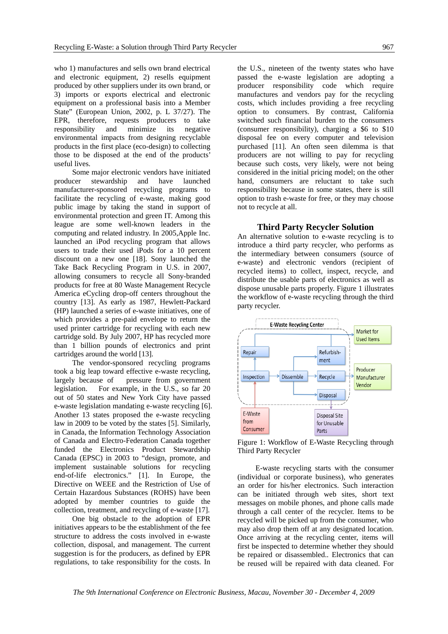who 1) manufactures and sells own brand electrical and electronic equipment, 2) resells equipment produced by other suppliers under its own brand, or 3) imports or exports electrical and electronic equipment on a professional basis into a Member State" (European Union, 2002, p. L 37/27). The EPR, therefore, requests producers to take responsibility and minimize its negative environmental impacts from designing recyclable products in the first place (eco-design) to collecting those to be disposed at the end of the products' useful lives.

Some major electronic vendors have initiated producer stewardship and have launched manufacturer-sponsored recycling programs to facilitate the recycling of e-waste, making good public image by taking the stand in support of environmental protection and green IT. Among this league are some well-known leaders in the computing and related industry. In 2005,Apple Inc. launched an iPod recycling program that allows users to trade their used iPods for a 10 percent discount on a new one [18]. Sony launched the Take Back Recycling Program in U.S. in 2007, allowing consumers to recycle all Sony-branded products for free at 80 Waste Management Recycle America eCycling drop-off centers throughout the country [13]. As early as 1987, Hewlett-Packard (HP) launched a series of e-waste initiatives, one of which provides a pre-paid envelope to return the used printer cartridge for recycling with each new cartridge sold. By July 2007, HP has recycled more than 1 billion pounds of electronics and print cartridges around the world [13].

The vendor-sponsored recycling programs took a big leap toward effective e-waste recycling, largely because of pressure from government legislation. For example, in the U.S., so far 20 out of 50 states and New York City have passed e-waste legislation mandating e-waste recycling [6]. Another 13 states proposed the e-waste recycling law in 2009 to be voted by the states [5]. Similarly, in Canada, the Information Technology Association of Canada and Electro-Federation Canada together funded the Electronics Product Stewardship Canada (EPSC) in 2003 to "design, promote, and implement sustainable solutions for recycling end-of-life electronics." [1]. In Europe, the Directive on WEEE and the Restriction of Use of Certain Hazardous Substances (ROHS) have been adopted by member countries to guide the collection, treatment, and recycling of e-waste [17].

One big obstacle to the adoption of EPR initiatives appears to be the establishment of the fee structure to address the costs involved in e-waste collection, disposal, and management. The current suggestion is for the producers, as defined by EPR regulations, to take responsibility for the costs. In

the U.S., nineteen of the twenty states who have passed the e-waste legislation are adopting a producer responsibility code which require manufactures and vendors pay for the recycling costs, which includes providing a free recycling option to consumers. By contrast, California switched such financial burden to the consumers (consumer responsibility), charging a \$6 to \$10 disposal fee on every computer and television purchased [11]. An often seen dilemma is that producers are not willing to pay for recycling because such costs, very likely, were not being considered in the initial pricing model; on the other hand, consumers are reluctant to take such responsibility because in some states, there is still option to trash e-waste for free, or they may choose not to recycle at all.

#### **Third Party Recycler Solution**

An alternative solution to e-waste recycling is to introduce a third party recycler, who performs as the intermediary between consumers (source of e-waste) and electronic vendors (recipient of recycled items) to collect, inspect, recycle, and distribute the usable parts of electronics as well as dispose unusable parts properly. Figure 1 illustrates the workflow of e-waste recycling through the third party recycler.



Figure 1: Workflow of E-Waste Recycling through Third Party Recycler

E-waste recycling starts with the consumer (individual or corporate business), who generates an order for his/her electronics. Such interaction can be initiated through web sites, short text messages on mobile phones, and phone calls made through a call center of the recycler. Items to be recycled will be picked up from the consumer, who may also drop them off at any designated location. Once arriving at the recycling center, items will first be inspected to determine whether they should be repaired or disassembled.. Electronics that can be reused will be repaired with data cleaned. For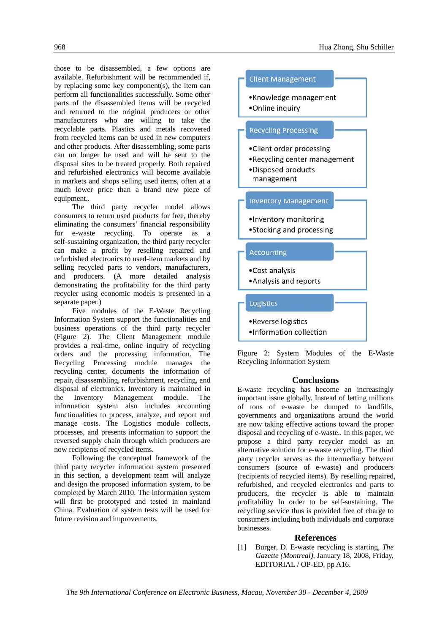those to be disassembled, a few options are available. Refurbishment will be recommended if, by replacing some key component(s), the item can perform all functionalities successfully. Some other parts of the disassembled items will be recycled and returned to the original producers or other manufacturers who are willing to take the recyclable parts. Plastics and metals recovered from recycled items can be used in new computers and other products. After disassembling, some parts can no longer be used and will be sent to the disposal sites to be treated properly. Both repaired and refurbished electronics will become available in markets and shops selling used items, often at a much lower price than a brand new piece of equipment..

The third party recycler model allows consumers to return used products for free, thereby eliminating the consumers' financial responsibility for e-waste recycling. To operate as a self-sustaining organization, the third party recycler can make a profit by reselling repaired and refurbished electronics to used-item markets and by selling recycled parts to vendors, manufacturers, and producers. (A more detailed analysis demonstrating the profitability for the third party recycler using economic models is presented in a separate paper.)

Five modules of the E-Waste Recycling Information System support the functionalities and business operations of the third party recycler (Figure 2). The Client Management module provides a real-time, online inquiry of recycling orders and the processing information. The Recycling Processing module manages the recycling center, documents the information of repair, disassembling, refurbishment, recycling, and disposal of electronics. Inventory is maintained in the Inventory Management module. The information system also includes accounting functionalities to process, analyze, and report and manage costs. The Logistics module collects, processes, and presents information to support the reversed supply chain through which producers are now recipients of recycled items.

Following the conceptual framework of the third party recycler information system presented in this section, a development team will analyze and design the proposed information system, to be completed by March 2010. The information system will first be prototyped and tested in mainland China. Evaluation of system tests will be used for future revision and improvements.



Figure 2: System Modules of the E-Waste Recycling Information System

#### **Conclusions**

E-waste recycling has become an increasingly important issue globally. Instead of letting millions of tons of e-waste be dumped to landfills, governments and organizations around the world are now taking effective actions toward the proper disposal and recycling of e-waste.. In this paper, we propose a third party recycler model as an alternative solution for e-waste recycling. The third party recycler serves as the intermediary between consumers (source of e-waste) and producers (recipients of recycled items). By reselling repaired, refurbished, and recycled electronics and parts to producers, the recycler is able to maintain profitability In order to be self-sustaining. The recycling service thus is provided free of charge to consumers including both individuals and corporate businesses.

#### **References**

[1] Burger, D. E-waste recycling is starting, *The Gazette (Montreal)*, January 18, 2008, Friday, EDITORIAL / OP-ED, pp A16.